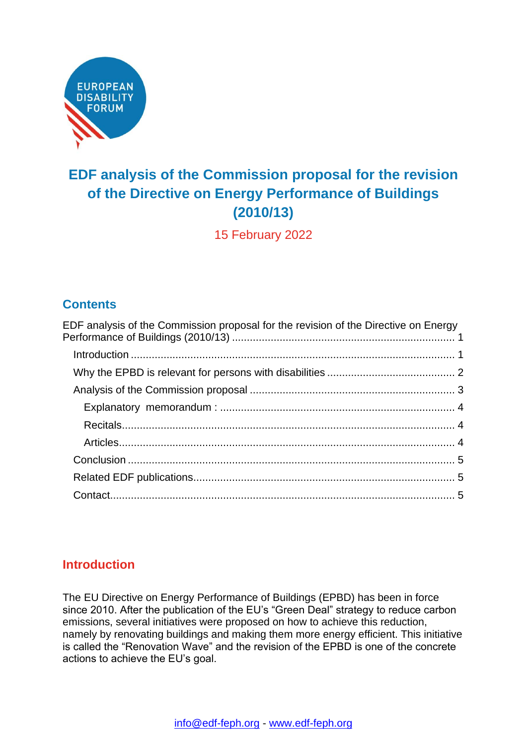

# <span id="page-0-0"></span>**EDF analysis of the Commission proposal for the revision of the Directive on Energy Performance of Buildings (2010/13)**

15 February 2022

# **Contents**

| EDF analysis of the Commission proposal for the revision of the Directive on Energy |  |
|-------------------------------------------------------------------------------------|--|
|                                                                                     |  |
|                                                                                     |  |
|                                                                                     |  |
|                                                                                     |  |
|                                                                                     |  |
|                                                                                     |  |
|                                                                                     |  |
|                                                                                     |  |
|                                                                                     |  |

# <span id="page-0-1"></span>**Introduction**

The EU Directive on Energy Performance of Buildings (EPBD) has been in force since 2010. After the publication of the EU's "Green Deal" strategy to reduce carbon emissions, several initiatives were proposed on how to achieve this reduction, namely by renovating buildings and making them more energy efficient. This initiative is called the "Renovation Wave" and the revision of the EPBD is one of the concrete actions to achieve the EU's goal.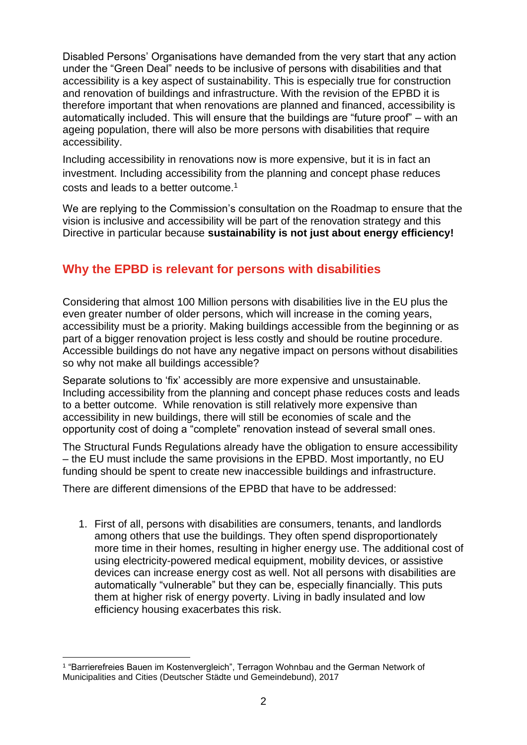Disabled Persons' Organisations have demanded from the very start that any action under the "Green Deal" needs to be inclusive of persons with disabilities and that accessibility is a key aspect of sustainability. This is especially true for construction and renovation of buildings and infrastructure. With the revision of the EPBD it is therefore important that when renovations are planned and financed, accessibility is automatically included. This will ensure that the buildings are "future proof" – with an ageing population, there will also be more persons with disabilities that require accessibility.

Including accessibility in renovations now is more expensive, but it is in fact an investment. Including accessibility from the planning and concept phase reduces costs and leads to a better outcome.<sup>1</sup>

We are replying to the Commission's consultation on the Roadmap to ensure that the vision is inclusive and accessibility will be part of the renovation strategy and this Directive in particular because **sustainability is not just about energy efficiency!**

## <span id="page-1-0"></span>**Why the EPBD is relevant for persons with disabilities**

Considering that almost 100 Million persons with disabilities live in the EU plus the even greater number of older persons, which will increase in the coming years, accessibility must be a priority. Making buildings accessible from the beginning or as part of a bigger renovation project is less costly and should be routine procedure. Accessible buildings do not have any negative impact on persons without disabilities so why not make all buildings accessible?

Separate solutions to 'fix' accessibly are more expensive and unsustainable. Including accessibility from the planning and concept phase reduces costs and leads to a better outcome. While renovation is still relatively more expensive than accessibility in new buildings, there will still be economies of scale and the opportunity cost of doing a "complete" renovation instead of several small ones.

The Structural Funds Regulations already have the obligation to ensure accessibility – the EU must include the same provisions in the EPBD. Most importantly, no EU funding should be spent to create new inaccessible buildings and infrastructure.

There are different dimensions of the EPBD that have to be addressed:

1. First of all, persons with disabilities are consumers, tenants, and landlords among others that use the buildings. They often spend disproportionately more time in their homes, resulting in higher energy use. The additional cost of using electricity-powered medical equipment, mobility devices, or assistive devices can increase energy cost as well. Not all persons with disabilities are automatically "vulnerable" but they can be, especially financially. This puts them at higher risk of energy poverty. Living in badly insulated and low efficiency housing exacerbates this risk.

<sup>1</sup> "Barrierefreies Bauen im Kostenvergleich", Terragon Wohnbau and the German Network of Municipalities and Cities (Deutscher Städte und Gemeindebund), 2017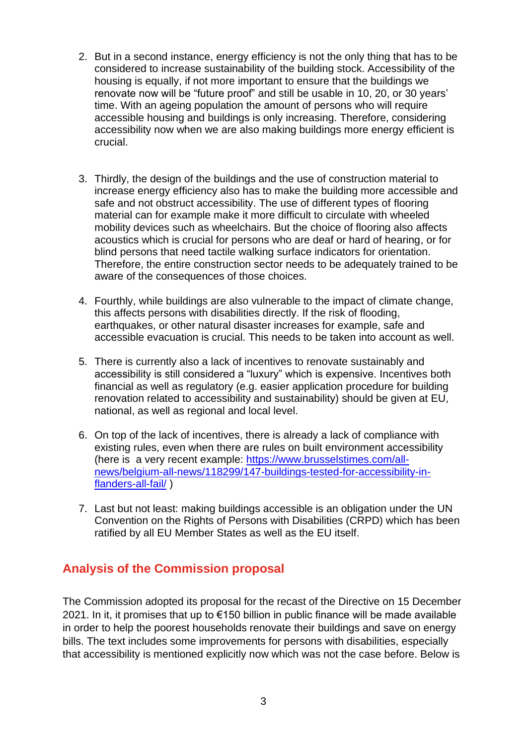- 2. But in a second instance, energy efficiency is not the only thing that has to be considered to increase sustainability of the building stock. Accessibility of the housing is equally, if not more important to ensure that the buildings we renovate now will be "future proof" and still be usable in 10, 20, or 30 years' time. With an ageing population the amount of persons who will require accessible housing and buildings is only increasing. Therefore, considering accessibility now when we are also making buildings more energy efficient is crucial.
- 3. Thirdly, the design of the buildings and the use of construction material to increase energy efficiency also has to make the building more accessible and safe and not obstruct accessibility. The use of different types of flooring material can for example make it more difficult to circulate with wheeled mobility devices such as wheelchairs. But the choice of flooring also affects acoustics which is crucial for persons who are deaf or hard of hearing, or for blind persons that need tactile walking surface indicators for orientation. Therefore, the entire construction sector needs to be adequately trained to be aware of the consequences of those choices.
- 4. Fourthly, while buildings are also vulnerable to the impact of climate change, this affects persons with disabilities directly. If the risk of flooding, earthquakes, or other natural disaster increases for example, safe and accessible evacuation is crucial. This needs to be taken into account as well.
- 5. There is currently also a lack of incentives to renovate sustainably and accessibility is still considered a "luxury" which is expensive. Incentives both financial as well as regulatory (e.g. easier application procedure for building renovation related to accessibility and sustainability) should be given at EU, national, as well as regional and local level.
- 6. On top of the lack of incentives, there is already a lack of compliance with existing rules, even when there are rules on built environment accessibility (here is a very recent example: [https://www.brusselstimes.com/all](https://www.brusselstimes.com/all-news/belgium-all-news/118299/147-buildings-tested-for-accessibility-in-flanders-all-fail/)[news/belgium-all-news/118299/147-buildings-tested-for-accessibility-in](https://www.brusselstimes.com/all-news/belgium-all-news/118299/147-buildings-tested-for-accessibility-in-flanders-all-fail/)[flanders-all-fail/](https://www.brusselstimes.com/all-news/belgium-all-news/118299/147-buildings-tested-for-accessibility-in-flanders-all-fail/) )
- 7. Last but not least: making buildings accessible is an obligation under the UN Convention on the Rights of Persons with Disabilities (CRPD) which has been ratified by all EU Member States as well as the EU itself.

#### <span id="page-2-0"></span>**Analysis of the Commission proposal**

The Commission adopted its proposal for the recast of the Directive on 15 December 2021. In it, it promises that up to €150 billion in public finance will be made available in order to help the poorest households renovate their buildings and save on energy bills. The text includes some improvements for persons with disabilities, especially that accessibility is mentioned explicitly now which was not the case before. Below is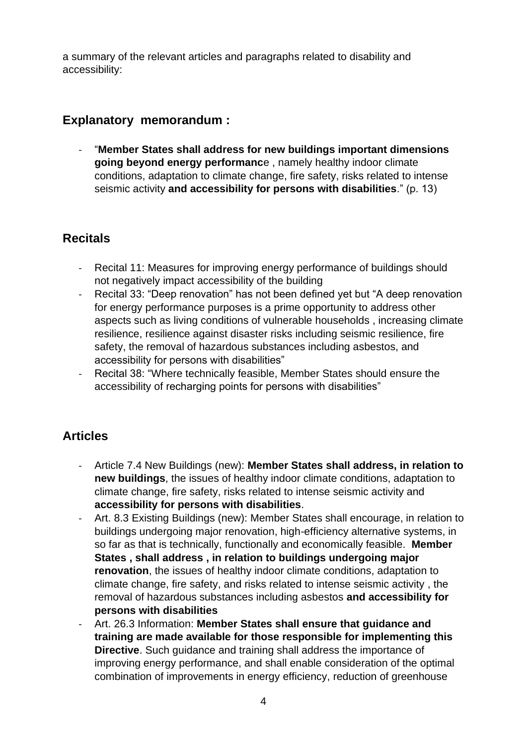a summary of the relevant articles and paragraphs related to disability and accessibility:

#### <span id="page-3-0"></span>**Explanatory memorandum :**

- "**Member States shall address for new buildings important dimensions going beyond energy performanc**e , namely healthy indoor climate conditions, adaptation to climate change, fire safety, risks related to intense seismic activity **and accessibility for persons with disabilities**." (p. 13)

#### <span id="page-3-1"></span>**Recitals**

- Recital 11: Measures for improving energy performance of buildings should not negatively impact accessibility of the building
- Recital 33: "Deep renovation" has not been defined yet but "A deep renovation for energy performance purposes is a prime opportunity to address other aspects such as living conditions of vulnerable households , increasing climate resilience, resilience against disaster risks including seismic resilience, fire safety, the removal of hazardous substances including asbestos, and accessibility for persons with disabilities"
- Recital 38: "Where technically feasible, Member States should ensure the accessibility of recharging points for persons with disabilities"

# <span id="page-3-2"></span>**Articles**

- Article 7.4 New Buildings (new): **Member States shall address, in relation to new buildings**, the issues of healthy indoor climate conditions, adaptation to climate change, fire safety, risks related to intense seismic activity and **accessibility for persons with disabilities**.
- Art. 8.3 Existing Buildings (new): Member States shall encourage, in relation to buildings undergoing major renovation, high-efficiency alternative systems, in so far as that is technically, functionally and economically feasible. **Member States , shall address , in relation to buildings undergoing major renovation**, the issues of healthy indoor climate conditions, adaptation to climate change, fire safety, and risks related to intense seismic activity , the removal of hazardous substances including asbestos **and accessibility for persons with disabilities**
- Art. 26.3 Information: **Member States shall ensure that guidance and training are made available for those responsible for implementing this Directive**. Such guidance and training shall address the importance of improving energy performance, and shall enable consideration of the optimal combination of improvements in energy efficiency, reduction of greenhouse